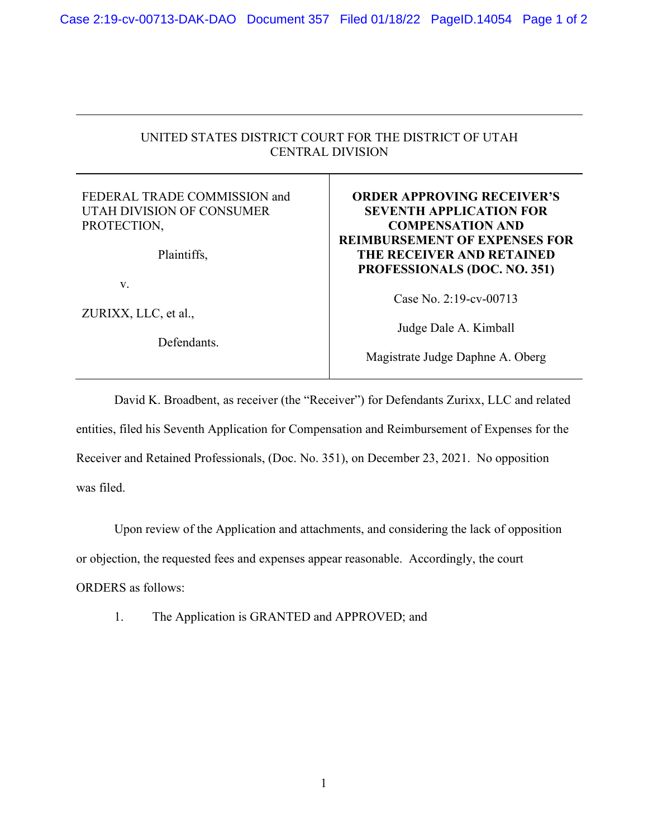## UNITED STATES DISTRICT COURT FOR THE DISTRICT OF UTAH CENTRAL DIVISION

## FEDERAL TRADE COMMISSION and UTAH DIVISION OF CONSUMER PROTECTION,

Plaintiffs,

v.

ZURIXX, LLC, et al.,

Defendants.

## **ORDER APPROVING RECEIVER'S SEVENTH APPLICATION FOR COMPENSATION AND REIMBURSEMENT OF EXPENSES FOR THE RECEIVER AND RETAINED PROFESSIONALS (DOC. NO. 351)**

Case No. 2:19-cv-00713

Judge Dale A. Kimball

Magistrate Judge Daphne A. Oberg

David K. Broadbent, as receiver (the "Receiver") for Defendants Zurixx, LLC and related entities, filed his Seventh Application for Compensation and Reimbursement of Expenses for the Receiver and Retained Professionals, (Doc. No. 351), on December 23, 2021. No opposition was filed.

Upon review of the Application and attachments, and considering the lack of opposition or objection, the requested fees and expenses appear reasonable. Accordingly, the court ORDERS as follows:

1. The Application is GRANTED and APPROVED; and